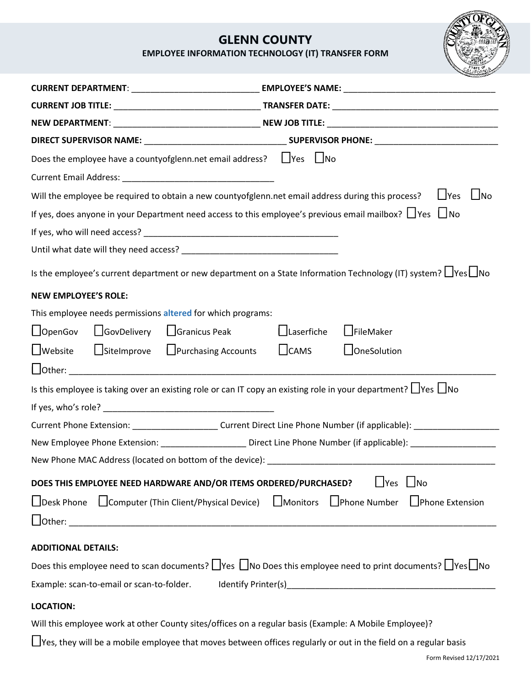## **GLENN COUNTY**

**EMPLOYEE INFORMATION TECHNOLOGY (IT) TRANSFER FORM**

| Does the employee have a countyofglenn.net email address? $\Box$ Yes $\Box$ No                                                   |                                            |  |
|----------------------------------------------------------------------------------------------------------------------------------|--------------------------------------------|--|
|                                                                                                                                  |                                            |  |
| Will the employee be required to obtain a new countyofglenn.net email address during this process?                               | $\Box$ Yes<br>$\Box$ No                    |  |
| If yes, does anyone in your Department need access to this employee's previous email mailbox? $\Box$ Yes $\Box$ No               |                                            |  |
|                                                                                                                                  |                                            |  |
|                                                                                                                                  |                                            |  |
| Is the employee's current department or new department on a State Information Technology (IT) system? I Yes I No                 |                                            |  |
| <b>NEW EMPLOYEE'S ROLE:</b>                                                                                                      |                                            |  |
| This employee needs permissions altered for which programs:                                                                      |                                            |  |
| □GovDelivery □Granicus Peak<br>$\Box$ OpenGov                                                                                    | $\Box$ FileMaker<br>$\bigsqcup$ Laserfiche |  |
| $\Box$ Site Improve $\Box$ Purchasing Accounts<br>$\Box$ Website                                                                 | $L$ <sub>CAMS</sub><br>$\Box$ OneSolution  |  |
|                                                                                                                                  |                                            |  |
| Is this employee is taking over an existing role or can IT copy an existing role in your department? $\Box$ Yes $\Box$ No        |                                            |  |
|                                                                                                                                  |                                            |  |
| Current Phone Extension: ______________________Current Direct Line Phone Number (if applicable): ___________________             |                                            |  |
| New Employee Phone Extension: ________________________Direct Line Phone Number (if applicable): ______________                   |                                            |  |
| New Phone MAC Address (located on bottom of the device): _______________________                                                 |                                            |  |
| DOES THIS EMPLOYEE NEED HARDWARE AND/OR ITEMS ORDERED/PURCHASED?<br>$\Box$ Yes $\Box$ No                                         |                                            |  |
| □Desk Phone □ Computer (Thin Client/Physical Device) □ Monitors □ Phone Number □ Phone Extension                                 |                                            |  |
|                                                                                                                                  |                                            |  |
| <b>ADDITIONAL DETAILS:</b>                                                                                                       |                                            |  |
| Does this employee need to scan documents? $\Box$ Yes $\Box$ No Does this employee need to print documents? $\Box$ Yes $\Box$ No |                                            |  |
|                                                                                                                                  |                                            |  |
| <b>LOCATION:</b>                                                                                                                 |                                            |  |
| Will this employee work at other County sites/offices on a regular basis (Example: A Mobile Employee)?                           |                                            |  |
| □ Yes, they will be a mobile employee that moves between offices regularly or out in the field on a regular basis                |                                            |  |